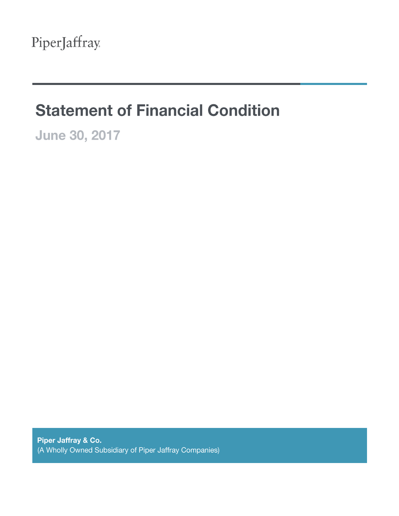# **Statement of Financial Condition**

**June 30, 2017** 

Piper Jaffray & Co. (A Wholly Owned Subsidiary of Piper Jaffray Companies)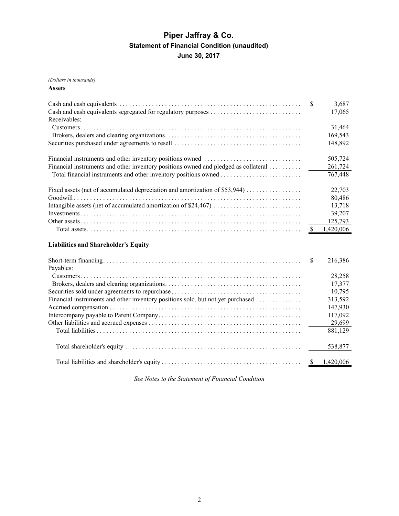# **Piper Jaffray & Co. Statement of Financial Condition (unaudited) June 30, 2017**

# *(Dollars in thousands)*

#### **Assets**

| Receivables:                                                                        | -S | 3,687<br>17,065 |
|-------------------------------------------------------------------------------------|----|-----------------|
|                                                                                     |    | 31,464          |
|                                                                                     |    | 169,543         |
|                                                                                     |    | 148,892         |
|                                                                                     |    | 505,724         |
| Financial instruments and other inventory positions owned and pledged as collateral |    | 261,724         |
|                                                                                     |    | 767,448         |
|                                                                                     |    | 22,703          |
|                                                                                     |    | 80,486          |
|                                                                                     |    | 13,718          |
|                                                                                     |    | 39,207          |
|                                                                                     |    | 125,793         |
|                                                                                     |    | 1,420,006       |
| <b>Liabilities and Shareholder's Equity</b>                                         |    |                 |
| $Short-term$ financing                                                              |    | 216386          |

|                                                                                 | 210,300 |
|---------------------------------------------------------------------------------|---------|
| Payables:                                                                       |         |
|                                                                                 | 28,258  |
|                                                                                 | 17,377  |
|                                                                                 | 10,795  |
| Financial instruments and other inventory positions sold, but not yet purchased | 313,592 |
|                                                                                 | 147,930 |
|                                                                                 | 117,092 |
|                                                                                 | 29,699  |
|                                                                                 | 881,129 |
|                                                                                 | 538,877 |
|                                                                                 |         |

*See Notes to the Statement of Financial Condition*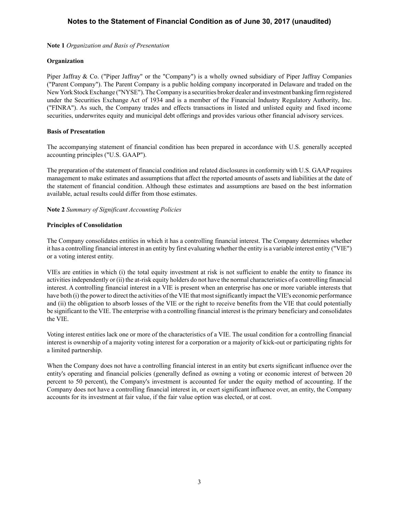**Note 1** *Organization and Basis of Presentation*

## **Organization**

Piper Jaffray & Co. ("Piper Jaffray" or the "Company") is a wholly owned subsidiary of Piper Jaffray Companies ("Parent Company"). The Parent Company is a public holding company incorporated in Delaware and traded on the New York Stock Exchange ("NYSE"). The Company is a securities broker dealer and investment banking firm registered under the Securities Exchange Act of 1934 and is a member of the Financial Industry Regulatory Authority, Inc. ("FINRA"). As such, the Company trades and effects transactions in listed and unlisted equity and fixed income securities, underwrites equity and municipal debt offerings and provides various other financial advisory services.

## **Basis of Presentation**

The accompanying statement of financial condition has been prepared in accordance with U.S. generally accepted accounting principles ("U.S. GAAP").

The preparation of the statement of financial condition and related disclosures in conformity with U.S. GAAPrequires management to make estimates and assumptions that affect the reported amounts of assets and liabilities at the date of the statement of financial condition. Although these estimates and assumptions are based on the best information available, actual results could differ from those estimates.

# **Note 2** *Summary of Significant Accounting Policies*

# **Principles of Consolidation**

The Company consolidates entities in which it has a controlling financial interest. The Company determines whether it has a controlling financial interest in an entity by first evaluating whether the entity is a variable interest entity ("VIE") or a voting interest entity.

VIEs are entities in which (i) the total equity investment at risk is not sufficient to enable the entity to finance its activities independently or (ii) the at-risk equity holders do not have the normal characteristics of a controlling financial interest. A controlling financial interest in a VIE is present when an enterprise has one or more variable interests that have both (i) the power to direct the activities of the VIE that most significantly impact the VIE's economic performance and (ii) the obligation to absorb losses of the VIE or the right to receive benefits from the VIE that could potentially be significant to the VIE. The enterprise with a controlling financial interest is the primary beneficiary and consolidates the VIE.

Voting interest entities lack one or more of the characteristics of a VIE. The usual condition for a controlling financial interest is ownership of a majority voting interest for a corporation or a majority of kick-out or participating rights for a limited partnership.

When the Company does not have a controlling financial interest in an entity but exerts significant influence over the entity's operating and financial policies (generally defined as owning a voting or economic interest of between 20 percent to 50 percent), the Company's investment is accounted for under the equity method of accounting. If the Company does not have a controlling financial interest in, or exert significant influence over, an entity, the Company accounts for its investment at fair value, if the fair value option was elected, or at cost.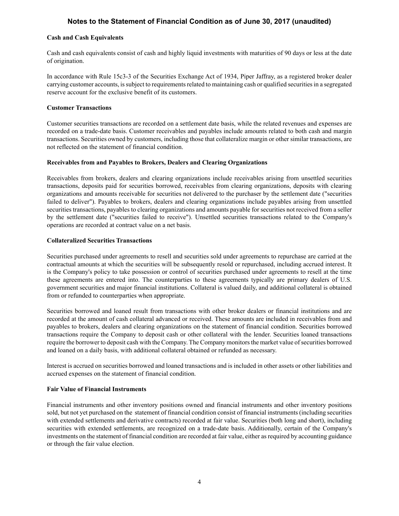# **Cash and Cash Equivalents**

Cash and cash equivalents consist of cash and highly liquid investments with maturities of 90 days or less at the date of origination.

In accordance with Rule 15c3-3 of the Securities Exchange Act of 1934, Piper Jaffray, as a registered broker dealer carrying customer accounts, is subject to requirements related to maintaining cash or qualified securities in a segregated reserve account for the exclusive benefit of its customers.

## **Customer Transactions**

Customer securities transactions are recorded on a settlement date basis, while the related revenues and expenses are recorded on a trade-date basis. Customer receivables and payables include amounts related to both cash and margin transactions. Securities owned by customers, including those that collateralize margin or other similar transactions, are not reflected on the statement of financial condition.

#### **Receivables from and Payables to Brokers, Dealers and Clearing Organizations**

Receivables from brokers, dealers and clearing organizations include receivables arising from unsettled securities transactions, deposits paid for securities borrowed, receivables from clearing organizations, deposits with clearing organizations and amounts receivable for securities not delivered to the purchaser by the settlement date ("securities failed to deliver"). Payables to brokers, dealers and clearing organizations include payables arising from unsettled securities transactions, payables to clearing organizations and amounts payable for securities not received from a seller by the settlement date ("securities failed to receive"). Unsettled securities transactions related to the Company's operations are recorded at contract value on a net basis.

#### **Collateralized Securities Transactions**

Securities purchased under agreements to resell and securities sold under agreements to repurchase are carried at the contractual amounts at which the securities will be subsequently resold or repurchased, including accrued interest. It is the Company's policy to take possession or control of securities purchased under agreements to resell at the time these agreements are entered into. The counterparties to these agreements typically are primary dealers of U.S. government securities and major financial institutions. Collateral is valued daily, and additional collateral is obtained from or refunded to counterparties when appropriate.

Securities borrowed and loaned result from transactions with other broker dealers or financial institutions and are recorded at the amount of cash collateral advanced or received. These amounts are included in receivables from and payables to brokers, dealers and clearing organizations on the statement of financial condition. Securities borrowed transactions require the Company to deposit cash or other collateral with the lender. Securities loaned transactions require the borrower to deposit cash with the Company. The Company monitors the market value of securities borrowed and loaned on a daily basis, with additional collateral obtained or refunded as necessary.

Interest is accrued on securities borrowed and loaned transactions and is included in other assets or other liabilities and accrued expenses on the statement of financial condition.

#### **Fair Value of Financial Instruments**

Financial instruments and other inventory positions owned and financial instruments and other inventory positions sold, but not yet purchased on the statement of financial condition consist of financial instruments (including securities with extended settlements and derivative contracts) recorded at fair value. Securities (both long and short), including securities with extended settlements, are recognized on a trade-date basis. Additionally, certain of the Company's investments on the statement of financial condition are recorded at fair value, either as required by accounting guidance or through the fair value election.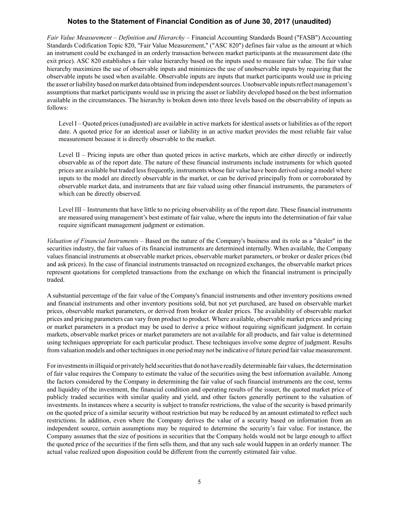*Fair Value Measurement* – *Definition and Hierarchy* – Financial Accounting Standards Board ("FASB") Accounting Standards Codification Topic 820, "Fair Value Measurement," ("ASC 820") defines fair value as the amount at which an instrument could be exchanged in an orderly transaction between market participants at the measurement date (the exit price). ASC 820 establishes a fair value hierarchy based on the inputs used to measure fair value. The fair value hierarchy maximizes the use of observable inputs and minimizes the use of unobservable inputs by requiring that the observable inputs be used when available. Observable inputs are inputs that market participants would use in pricing the asset or liability based on market data obtained from independent sources. Unobservable inputs reflect management's assumptions that market participants would use in pricing the asset or liability developed based on the best information available in the circumstances. The hierarchy is broken down into three levels based on the observability of inputs as follows:

Level I – Quoted prices (unadjusted) are available in active markets for identical assets or liabilities as of the report date. A quoted price for an identical asset or liability in an active market provides the most reliable fair value measurement because it is directly observable to the market.

Level II – Pricing inputs are other than quoted prices in active markets, which are either directly or indirectly observable as of the report date. The nature of these financial instruments include instruments for which quoted prices are available but traded less frequently, instruments whose fair value have been derived using a model where inputs to the model are directly observable in the market, or can be derived principally from or corroborated by observable market data, and instruments that are fair valued using other financial instruments, the parameters of which can be directly observed.

Level III – Instruments that have little to no pricing observability as of the report date. These financial instruments are measured using management's best estimate of fair value, where the inputs into the determination of fair value require significant management judgment or estimation.

*Valuation of Financial Instruments* – Based on the nature of the Company's business and its role as a "dealer" in the securities industry, the fair values of its financial instruments are determined internally. When available, the Company values financial instruments at observable market prices, observable market parameters, or broker or dealer prices (bid and ask prices). In the case of financial instruments transacted on recognized exchanges, the observable market prices represent quotations for completed transactions from the exchange on which the financial instrument is principally traded.

A substantial percentage of the fair value of the Company's financial instruments and other inventory positions owned and financial instruments and other inventory positions sold, but not yet purchased, are based on observable market prices, observable market parameters, or derived from broker or dealer prices. The availability of observable market prices and pricing parameters can vary from product to product. Where available, observable market prices and pricing or market parameters in a product may be used to derive a price without requiring significant judgment. In certain markets, observable market prices or market parameters are not available for all products, and fair value is determined using techniques appropriate for each particular product. These techniques involve some degree of judgment. Results from valuation models and other techniques in one period may not be indicative of future period fair value measurement.

For investments in illiquid or privately held securities that do not have readily determinable fair values, the determination of fair value requires the Company to estimate the value of the securities using the best information available. Among the factors considered by the Company in determining the fair value of such financial instruments are the cost, terms and liquidity of the investment, the financial condition and operating results of the issuer, the quoted market price of publicly traded securities with similar quality and yield, and other factors generally pertinent to the valuation of investments. In instances where a security is subject to transfer restrictions, the value of the security is based primarily on the quoted price of a similar security without restriction but may be reduced by an amount estimated to reflect such restrictions. In addition, even where the Company derives the value of a security based on information from an independent source, certain assumptions may be required to determine the security's fair value. For instance, the Company assumes that the size of positions in securities that the Company holds would not be large enough to affect the quoted price of the securities if the firm sells them, and that any such sale would happen in an orderly manner. The actual value realized upon disposition could be different from the currently estimated fair value.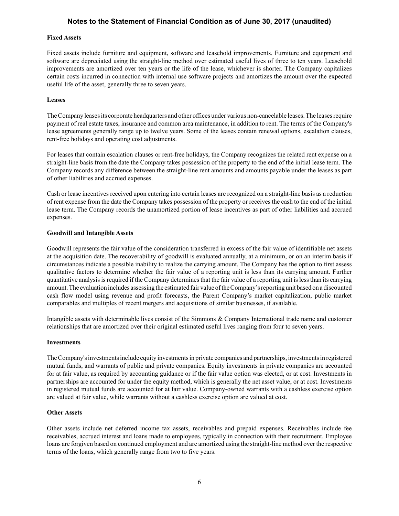#### **Fixed Assets**

Fixed assets include furniture and equipment, software and leasehold improvements. Furniture and equipment and software are depreciated using the straight-line method over estimated useful lives of three to ten years. Leasehold improvements are amortized over ten years or the life of the lease, whichever is shorter. The Company capitalizes certain costs incurred in connection with internal use software projects and amortizes the amount over the expected useful life of the asset, generally three to seven years.

#### **Leases**

The Company leases its corporate headquarters and other offices under various non-cancelable leases. The leases require payment of real estate taxes, insurance and common area maintenance, in addition to rent. The terms of the Company's lease agreements generally range up to twelve years. Some of the leases contain renewal options, escalation clauses, rent-free holidays and operating cost adjustments.

For leases that contain escalation clauses or rent-free holidays, the Company recognizes the related rent expense on a straight-line basis from the date the Company takes possession of the property to the end of the initial lease term. The Company records any difference between the straight-line rent amounts and amounts payable under the leases as part of other liabilities and accrued expenses.

Cash or lease incentives received upon entering into certain leases are recognized on a straight-line basis as a reduction of rent expense from the date the Company takes possession of the property or receives the cash to the end of the initial lease term. The Company records the unamortized portion of lease incentives as part of other liabilities and accrued expenses.

## **Goodwill and Intangible Assets**

Goodwill represents the fair value of the consideration transferred in excess of the fair value of identifiable net assets at the acquisition date. The recoverability of goodwill is evaluated annually, at a minimum, or on an interim basis if circumstances indicate a possible inability to realize the carrying amount. The Company has the option to first assess qualitative factors to determine whether the fair value of a reporting unit is less than its carrying amount. Further quantitative analysis is required if the Company determines that the fair value of a reporting unit is less than its carrying amount. The evaluation includes assessing the estimated fair value of the Company's reporting unit based on a discounted cash flow model using revenue and profit forecasts, the Parent Company's market capitalization, public market comparables and multiples of recent mergers and acquisitions of similar businesses, if available.

Intangible assets with determinable lives consist of the Simmons & Company International trade name and customer relationships that are amortized over their original estimated useful lives ranging from four to seven years.

#### **Investments**

The Company's investments include equity investments in private companies and partnerships, investments in registered mutual funds, and warrants of public and private companies. Equity investments in private companies are accounted for at fair value, as required by accounting guidance or if the fair value option was elected, or at cost. Investments in partnerships are accounted for under the equity method, which is generally the net asset value, or at cost. Investments in registered mutual funds are accounted for at fair value. Company-owned warrants with a cashless exercise option are valued at fair value, while warrants without a cashless exercise option are valued at cost.

#### **Other Assets**

Other assets include net deferred income tax assets, receivables and prepaid expenses. Receivables include fee receivables, accrued interest and loans made to employees, typically in connection with their recruitment. Employee loans are forgiven based on continued employment and are amortized using the straight-line method over the respective terms of the loans, which generally range from two to five years.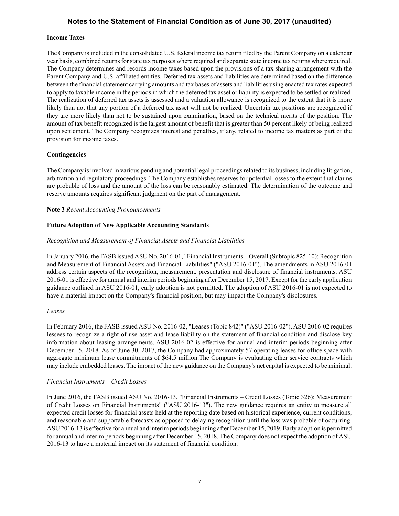#### **Income Taxes**

The Company is included in the consolidated U.S. federal income tax return filed by the Parent Company on a calendar year basis, combined returns for state tax purposes where required and separate state income tax returns where required. The Company determines and records income taxes based upon the provisions of a tax sharing arrangement with the Parent Company and U.S. affiliated entities. Deferred tax assets and liabilities are determined based on the difference between the financial statement carrying amounts and tax bases of assets and liabilities using enacted tax rates expected to apply to taxable income in the periods in which the deferred tax asset or liability is expected to be settled or realized. The realization of deferred tax assets is assessed and a valuation allowance is recognized to the extent that it is more likely than not that any portion of a deferred tax asset will not be realized. Uncertain tax positions are recognized if they are more likely than not to be sustained upon examination, based on the technical merits of the position. The amount of tax benefit recognized is the largest amount of benefit that is greater than 50 percent likely of being realized upon settlement. The Company recognizes interest and penalties, if any, related to income tax matters as part of the provision for income taxes.

#### **Contingencies**

The Company is involved in various pending and potential legal proceedings related to its business, including litigation, arbitration and regulatory proceedings. The Company establishes reserves for potential losses to the extent that claims are probable of loss and the amount of the loss can be reasonably estimated. The determination of the outcome and reserve amounts requires significant judgment on the part of management.

#### **Note 3** *Recent Accounting Pronouncements*

#### **Future Adoption of New Applicable Accounting Standards**

#### *Recognition and Measurement of Financial Assets and Financial Liabilities*

In January 2016, the FASB issued ASU No. 2016-01, "Financial Instruments – Overall (Subtopic 825-10): Recognition and Measurement of Financial Assets and Financial Liabilities" ("ASU 2016-01"). The amendments in ASU 2016-01 address certain aspects of the recognition, measurement, presentation and disclosure of financial instruments. ASU 2016-01 is effective for annual and interim periods beginning after December 15, 2017. Except for the early application guidance outlined in ASU 2016-01, early adoption is not permitted. The adoption of ASU 2016-01 is not expected to have a material impact on the Company's financial position, but may impact the Company's disclosures.

#### *Leases*

In February 2016, the FASB issued ASU No. 2016-02, "Leases (Topic 842)" ("ASU 2016-02"). ASU 2016-02 requires lessees to recognize a right-of-use asset and lease liability on the statement of financial condition and disclose key information about leasing arrangements. ASU 2016-02 is effective for annual and interim periods beginning after December 15, 2018. As of June 30, 2017, the Company had approximately 57 operating leases for office space with aggregate minimum lease commitments of \$64.5 million.The Company is evaluating other service contracts which may include embedded leases. The impact of the new guidance on the Company's net capital is expected to be minimal.

#### *Financial Instruments* – *Credit Losses*

In June 2016, the FASB issued ASU No. 2016-13, "Financial Instruments – Credit Losses (Topic 326): Measurement of Credit Losses on Financial Instruments" ("ASU 2016-13"). The new guidance requires an entity to measure all expected credit losses for financial assets held at the reporting date based on historical experience, current conditions, and reasonable and supportable forecasts as opposed to delaying recognition until the loss was probable of occurring. ASU 2016-13 is effective for annual and interim periods beginning after December 15, 2019. Early adoption is permitted for annual and interim periods beginning after December 15, 2018. The Company does not expect the adoption of ASU 2016-13 to have a material impact on its statement of financial condition.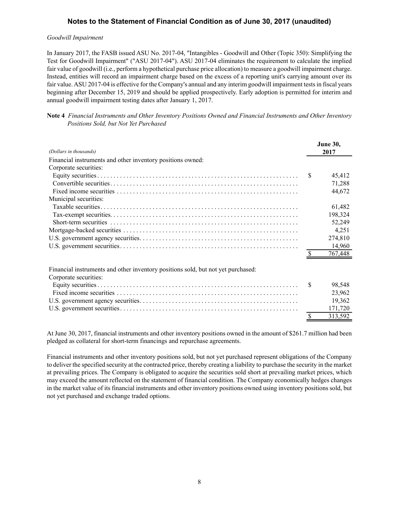#### *Goodwill Impairment*

In January 2017, the FASB issued ASU No. 2017-04, "Intangibles - Goodwill and Other (Topic 350): Simplifying the Test for Goodwill Impairment" ("ASU 2017-04"). ASU 2017-04 eliminates the requirement to calculate the implied fair value of goodwill (i.e., perform a hypothetical purchase price allocation) to measure a goodwill impairment charge. Instead, entities will record an impairment charge based on the excess of a reporting unit's carrying amount over its fair value. ASU 2017-04 is effective for the Company's annual and any interim goodwill impairment tests in fiscal years beginning after December 15, 2019 and should be applied prospectively. Early adoption is permitted for interim and annual goodwill impairment testing dates after January 1, 2017.

**Note 4** *Financial Instruments and Other Inventory Positions Owned and Financial Instruments and Other Inventory Positions Sold, but Not Yet Purchased*

| (Dollars in thousands)                                                           |               | <b>June 30,</b><br>2017 |
|----------------------------------------------------------------------------------|---------------|-------------------------|
| Financial instruments and other inventory positions owned:                       |               |                         |
| Corporate securities:                                                            |               |                         |
|                                                                                  | -S            | 45,412                  |
|                                                                                  |               | 71,288                  |
|                                                                                  |               | 44,672                  |
| Municipal securities:                                                            |               |                         |
|                                                                                  |               | 61,482                  |
|                                                                                  |               | 198,324                 |
|                                                                                  |               | 52,249                  |
|                                                                                  |               | 4,251                   |
|                                                                                  |               | 274,810                 |
|                                                                                  |               | 14,960                  |
|                                                                                  |               | 767,448                 |
| Financial instruments and other inventory positions sold, but not yet purchased: |               |                         |
| Corporate securities:                                                            |               |                         |
|                                                                                  | \$            | 98,548                  |
|                                                                                  |               | 23,962                  |
|                                                                                  |               | 19,362                  |
|                                                                                  |               | 171,720                 |
|                                                                                  | <sup>\$</sup> | 313,592                 |

At June 30, 2017, financial instruments and other inventory positions owned in the amount of \$261.7 million had been pledged as collateral for short-term financings and repurchase agreements.

Financial instruments and other inventory positions sold, but not yet purchased represent obligations of the Company to deliver the specified security at the contracted price, thereby creating a liability to purchase the security in the market at prevailing prices. The Company is obligated to acquire the securities sold short at prevailing market prices, which may exceed the amount reflected on the statement of financial condition. The Company economically hedges changes in the market value of its financial instruments and other inventory positions owned using inventory positions sold, but not yet purchased and exchange traded options.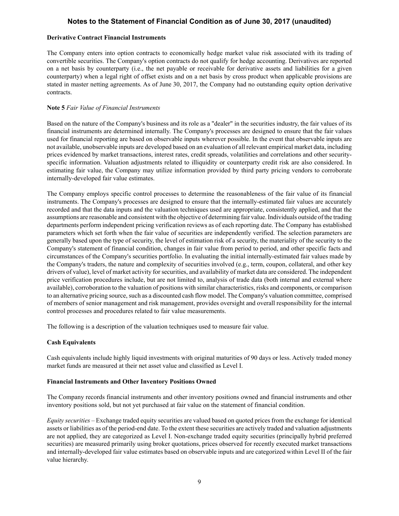## **Derivative Contract Financial Instruments**

The Company enters into option contracts to economically hedge market value risk associated with its trading of convertible securities. The Company's option contracts do not qualify for hedge accounting. Derivatives are reported on a net basis by counterparty (i.e., the net payable or receivable for derivative assets and liabilities for a given counterparty) when a legal right of offset exists and on a net basis by cross product when applicable provisions are stated in master netting agreements. As of June 30, 2017, the Company had no outstanding equity option derivative contracts.

# **Note 5** *Fair Value of Financial Instruments*

Based on the nature of the Company's business and its role as a "dealer" in the securities industry, the fair values of its financial instruments are determined internally. The Company's processes are designed to ensure that the fair values used for financial reporting are based on observable inputs wherever possible. In the event that observable inputs are not available, unobservable inputs are developed based on an evaluation of all relevant empirical market data, including prices evidenced by market transactions, interest rates, credit spreads, volatilities and correlations and other securityspecific information. Valuation adjustments related to illiquidity or counterparty credit risk are also considered. In estimating fair value, the Company may utilize information provided by third party pricing vendors to corroborate internally-developed fair value estimates.

The Company employs specific control processes to determine the reasonableness of the fair value of its financial instruments. The Company's processes are designed to ensure that the internally-estimated fair values are accurately recorded and that the data inputs and the valuation techniques used are appropriate, consistently applied, and that the assumptions are reasonable and consistent with the objective of determining fair value. Individuals outside of the trading departments perform independent pricing verification reviews as of each reporting date. The Company has established parameters which set forth when the fair value of securities are independently verified. The selection parameters are generally based upon the type of security, the level of estimation risk of a security, the materiality of the security to the Company's statement of financial condition, changes in fair value from period to period, and other specific facts and circumstances of the Company's securities portfolio. In evaluating the initial internally-estimated fair values made by the Company's traders, the nature and complexity of securities involved (e.g., term, coupon, collateral, and other key drivers of value), level of market activity for securities, and availability of market data are considered. The independent price verification procedures include, but are not limited to, analysis of trade data (both internal and external where available), corroboration to the valuation of positions with similar characteristics, risks and components, or comparison to an alternative pricing source, such as a discounted cash flow model. The Company's valuation committee, comprised of members of senior management and risk management, provides oversight and overall responsibility for the internal control processes and procedures related to fair value measurements.

The following is a description of the valuation techniques used to measure fair value.

## **Cash Equivalents**

Cash equivalents include highly liquid investments with original maturities of 90 days or less. Actively traded money market funds are measured at their net asset value and classified as Level I.

## **Financial Instruments and Other Inventory Positions Owned**

The Company records financial instruments and other inventory positions owned and financial instruments and other inventory positions sold, but not yet purchased at fair value on the statement of financial condition.

*Equity securities –* Exchange traded equity securities are valued based on quoted prices from the exchange for identical assets or liabilities as of the period-end date. To the extent these securities are actively traded and valuation adjustments are not applied, they are categorized as Level I. Non-exchange traded equity securities (principally hybrid preferred securities) are measured primarily using broker quotations, prices observed for recently executed market transactions and internally-developed fair value estimates based on observable inputs and are categorized within Level II of the fair value hierarchy.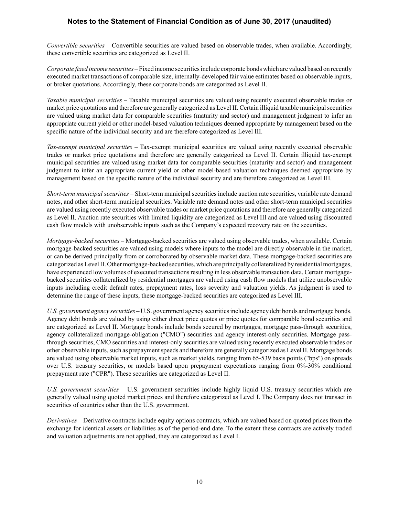*Convertible securities –* Convertible securities are valued based on observable trades, when available. Accordingly, these convertible securities are categorized as Level II.

*Corporate fixed income securities –*Fixed income securities include corporate bonds which are valued based on recently executed market transactions of comparable size, internally-developed fair value estimates based on observable inputs, or broker quotations. Accordingly, these corporate bonds are categorized as Level II.

*Taxable municipal securities –* Taxable municipal securities are valued using recently executed observable trades or market price quotations and therefore are generally categorized as Level II. Certain illiquid taxable municipal securities are valued using market data for comparable securities (maturity and sector) and management judgment to infer an appropriate current yield or other model-based valuation techniques deemed appropriate by management based on the specific nature of the individual security and are therefore categorized as Level III.

*Tax-exempt municipal securities –* Tax-exempt municipal securities are valued using recently executed observable trades or market price quotations and therefore are generally categorized as Level II. Certain illiquid tax-exempt municipal securities are valued using market data for comparable securities (maturity and sector) and management judgment to infer an appropriate current yield or other model-based valuation techniques deemed appropriate by management based on the specific nature of the individual security and are therefore categorized as Level III.

*Short-term municipal securities –* Short-term municipal securities include auction rate securities, variable rate demand notes, and other short-term municipal securities. Variable rate demand notes and other short-term municipal securities are valued using recently executed observable trades or market price quotations and therefore are generally categorized as Level II. Auction rate securities with limited liquidity are categorized as Level III and are valued using discounted cash flow models with unobservable inputs such as the Company's expected recovery rate on the securities.

*Mortgage-backed securities –* Mortgage-backed securities are valued using observable trades, when available. Certain mortgage-backed securities are valued using models where inputs to the model are directly observable in the market, or can be derived principally from or corroborated by observable market data. These mortgage-backed securities are categorized as Level II. Other mortgage-backed securities, which are principally collateralized by residential mortgages, have experienced low volumes of executed transactions resulting in less observable transaction data. Certain mortgagebacked securities collateralized by residential mortgages are valued using cash flow models that utilize unobservable inputs including credit default rates, prepayment rates, loss severity and valuation yields. As judgment is used to determine the range of these inputs, these mortgage-backed securities are categorized as Level III.

*U.S. government agency securities –* U.S. government agency securities include agency debt bonds and mortgage bonds. Agency debt bonds are valued by using either direct price quotes or price quotes for comparable bond securities and are categorized as Level II. Mortgage bonds include bonds secured by mortgages, mortgage pass-through securities, agency collateralized mortgage-obligation ("CMO") securities and agency interest-only securities. Mortgage passthrough securities, CMO securities and interest-only securities are valued using recently executed observable trades or other observable inputs, such as prepayment speeds and therefore are generally categorized as Level II. Mortgage bonds are valued using observable market inputs, such as market yields, ranging from 65-539 basis points ("bps") on spreads over U.S. treasury securities, or models based upon prepayment expectations ranging from 0%-30% conditional prepayment rate ("CPR"). These securities are categorized as Level II.

*U.S. government securities –* U.S. government securities include highly liquid U.S. treasury securities which are generally valued using quoted market prices and therefore categorized as Level I. The Company does not transact in securities of countries other than the U.S. government.

*Derivatives –* Derivative contracts include equity options contracts, which are valued based on quoted prices from the exchange for identical assets or liabilities as of the period-end date. To the extent these contracts are actively traded and valuation adjustments are not applied, they are categorized as Level I.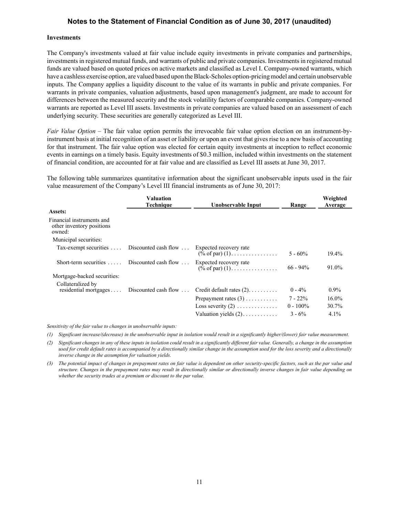#### **Investments**

The Company's investments valued at fair value include equity investments in private companies and partnerships, investments in registered mutual funds, and warrants of public and private companies. Investments in registered mutual funds are valued based on quoted prices on active markets and classified as Level I. Company-owned warrants, which have a cashless exercise option, are valued based upon the Black-Scholes option-pricing model and certain unobservable inputs. The Company applies a liquidity discount to the value of its warrants in public and private companies. For warrants in private companies, valuation adjustments, based upon management's judgment, are made to account for differences between the measured security and the stock volatility factors of comparable companies. Company-owned warrants are reported as Level III assets. Investments in private companies are valued based on an assessment of each underlying security. These securities are generally categorized as Level III.

*Fair Value Option –* The fair value option permits the irrevocable fair value option election on an instrument-byinstrument basis at initial recognition of an asset or liability or upon an event that gives rise to a new basis of accounting for that instrument. The fair value option was elected for certain equity investments at inception to reflect economic events in earnings on a timely basis. Equity investments of \$0.3 million, included within investments on the statement of financial condition, are accounted for at fair value and are classified as Level III assets at June 30, 2017.

The following table summarizes quantitative information about the significant unobservable inputs used in the fair value measurement of the Company's Level III financial instruments as of June 30, 2017:

|                                                                  | <b>Valuation</b><br><b>Technique</b> | Unobservable Input                                     | Range       | Weighted<br>Average |
|------------------------------------------------------------------|--------------------------------------|--------------------------------------------------------|-------------|---------------------|
| Assets:                                                          |                                      |                                                        |             |                     |
| Financial instruments and<br>other inventory positions<br>owned: |                                      |                                                        |             |                     |
| Municipal securities:                                            |                                      |                                                        |             |                     |
| Tax-exempt securities  Discounted cash flow                      |                                      | Expected recovery rate<br>$(\% \text{ of par}) (1)$    | $5 - 60\%$  | 19.4%               |
| Short-term securities $\dots$ Discounted cash flow $\dots$       |                                      | Expected recovery rate<br>$(\hat{\%}$ of par) $(1)$    | $66 - 94\%$ | 91.0%               |
| Mortgage-backed securities:                                      |                                      |                                                        |             |                     |
| Collateralized by<br>residential mortgages                       |                                      | Discounted cash flow $\ldots$ Credit default rates (2) | $0 - 4\%$   | $0.9\%$             |
|                                                                  |                                      | Prepayment rates $(3)$                                 | $7 - 22\%$  | $16.0\%$            |
|                                                                  |                                      | Loss severity $(2)$                                    | $0 - 100\%$ | 30.7%               |
|                                                                  |                                      | Valuation yields $(2)$                                 | $3 - 6\%$   | $4.1\%$             |

*Sensitivity of the fair value to changes in unobservable inputs:*

*(1) Significant increase/(decrease) in the unobservable input in isolation would result in a significantly higher/(lower) fair value measurement.*

- *(2) Significant changes in any of these inputs in isolation could result in a significantly different fair value. Generally, a change in the assumption*  used for credit default rates is accompanied by a directionally similar change in the assumption used for the loss severity and a directionally *inverse change in the assumption for valuation yields.*
- *(3) The potential impact of changes in prepayment rates on fair value is dependent on other security-specific factors, such as the par value and structure. Changes in the prepayment rates may result in directionally similar or directionally inverse changes in fair value depending on whether the security trades at a premium or discount to the par value.*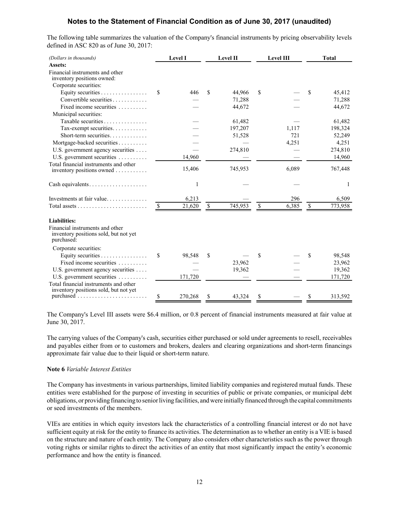The following table summarizes the valuation of the Company's financial instruments by pricing observability levels defined in ASC 820 as of June 30, 2017:

| (Dollars in thousands)                                                                 |               | <b>Level I</b> |      | Level II | Level III   | <b>Total</b>  |
|----------------------------------------------------------------------------------------|---------------|----------------|------|----------|-------------|---------------|
| Assets:                                                                                |               |                |      |          |             |               |
| Financial instruments and other<br>inventory positions owned:                          |               |                |      |          |             |               |
|                                                                                        |               |                |      |          |             |               |
| Corporate securities:                                                                  |               |                | \$   |          |             |               |
| Equity securities                                                                      | S             | 446            |      | 44,966   | \$          | \$<br>45,412  |
| Convertible securities                                                                 |               |                |      | 71,288   |             | 71,288        |
| Fixed income securities $\ldots$                                                       |               |                |      | 44,672   |             | 44,672        |
| Municipal securities:                                                                  |               |                |      |          |             |               |
| Taxable securities                                                                     |               |                |      | 61,482   |             | 61,482        |
| Tax-exempt securities                                                                  |               |                |      | 197,207  | 1,117       | 198,324       |
| Short-term securities                                                                  |               |                |      | 51,528   | 721         | 52,249        |
| Mortgage-backed securities                                                             |               |                |      |          | 4,251       | 4,251         |
| U.S. government agency securities                                                      |               |                |      | 274,810  |             | 274,810       |
| U.S. government securities                                                             |               | 14,960         |      |          |             | 14,960        |
| Total financial instruments and other                                                  |               |                |      |          |             |               |
| inventory positions owned                                                              |               | 15,406         |      | 745,953  | 6,089       | 767,448       |
| Cash equivalents                                                                       |               | 1              |      |          |             | 1             |
| Investments at fair value                                                              |               | 6,213          |      |          | 296         | 6,509         |
|                                                                                        | $\mathcal{S}$ | 21,620         | $\$$ | 745,953  | \$<br>6,385 | \$<br>773,958 |
| <b>Liabilities:</b>                                                                    |               |                |      |          |             |               |
| Financial instruments and other<br>inventory positions sold, but not yet<br>purchased: |               |                |      |          |             |               |
| Corporate securities:                                                                  |               |                |      |          |             |               |
| Equity securities                                                                      | \$            | 98,548         | \$   |          | \$          | \$<br>98,548  |
| Fixed income securities $\ldots$                                                       |               |                |      | 23,962   |             | 23,962        |
| U.S. government agency securities                                                      |               |                |      | 19,362   |             | 19,362        |
| U.S. government securities                                                             |               | 171,720        |      |          |             | 171,720       |
| Total financial instruments and other                                                  |               |                |      |          |             |               |
| inventory positions sold, but not yet                                                  | <sup>\$</sup> | 270,268        | S    | 43,324   |             | 313,592       |
|                                                                                        |               |                |      |          |             |               |

The Company's Level III assets were \$6.4 million, or 0.8 percent of financial instruments measured at fair value at June 30, 2017.

The carrying values of the Company's cash, securities either purchased or sold under agreements to resell, receivables and payables either from or to customers and brokers, dealers and clearing organizations and short-term financings approximate fair value due to their liquid or short-term nature.

#### **Note 6** *Variable Interest Entities*

The Company has investments in various partnerships, limited liability companies and registered mutual funds. These entities were established for the purpose of investing in securities of public or private companies, or municipal debt obligations, or providing financing to senior living facilities, and were initially financed through the capital commitments or seed investments of the members.

VIEs are entities in which equity investors lack the characteristics of a controlling financial interest or do not have sufficient equity at risk for the entity to finance its activities. The determination as to whether an entity is a VIE is based on the structure and nature of each entity. The Company also considers other characteristics such as the power through voting rights or similar rights to direct the activities of an entity that most significantly impact the entity's economic performance and how the entity is financed.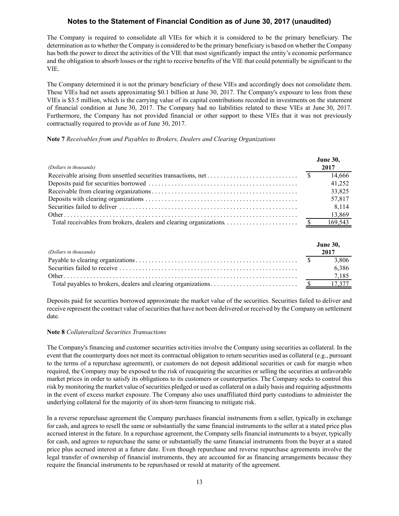The Company is required to consolidate all VIEs for which it is considered to be the primary beneficiary. The determination as to whether the Company is considered to be the primary beneficiary is based on whether the Company has both the power to direct the activities of the VIE that most significantly impact the entity's economic performance and the obligation to absorb losses or the right to receive benefits of the VIE that could potentially be significant to the VIE.

The Company determined it is not the primary beneficiary of these VIEs and accordingly does not consolidate them. These VIEs had net assets approximating \$0.1 billion at June 30, 2017. The Company's exposure to loss from these VIEs is \$3.5 million, which is the carrying value of its capital contributions recorded in investments on the statement of financial condition at June 30, 2017. The Company had no liabilities related to these VIEs at June 30, 2017. Furthermore, the Company has not provided financial or other support to these VIEs that it was not previously contractually required to provide as of June 30, 2017.

### **Note 7** *Receivables from and Payables to Brokers, Dealers and Clearing Organizations*

| (Dollars in thousands) | <b>June 30,</b><br>2017 |
|------------------------|-------------------------|
|                        | 14,666                  |
|                        | 41,252                  |
|                        | 33,825                  |
|                        | 57.817                  |
|                        | 8.114                   |
|                        | 13,869                  |
|                        | 169,543                 |

|                        | <b>June 30,</b> |
|------------------------|-----------------|
| (Dollars in thousands) | 2017            |
|                        | 3.806           |
|                        | 6.386           |
|                        |                 |
|                        |                 |

Deposits paid for securities borrowed approximate the market value of the securities. Securities failed to deliver and receive represent the contract value of securities that have not been delivered or received by the Company on settlement date.

## **Note 8** *Collateralized Securities Transactions*

The Company's financing and customer securities activities involve the Company using securities as collateral. In the event that the counterparty does not meet its contractual obligation to return securities used as collateral (e.g., pursuant to the terms of a repurchase agreement), or customers do not deposit additional securities or cash for margin when required, the Company may be exposed to the risk of reacquiring the securities or selling the securities at unfavorable market prices in order to satisfy its obligations to its customers or counterparties. The Company seeks to control this risk by monitoring the market value of securities pledged or used as collateral on a daily basis and requiring adjustments in the event of excess market exposure. The Company also uses unaffiliated third party custodians to administer the underlying collateral for the majority of its short-term financing to mitigate risk.

In a reverse repurchase agreement the Company purchases financial instruments from a seller, typically in exchange for cash, and agrees to resell the same or substantially the same financial instruments to the seller at a stated price plus accrued interest in the future. In a repurchase agreement, the Company sells financial instruments to a buyer, typically for cash, and agrees to repurchase the same or substantially the same financial instruments from the buyer at a stated price plus accrued interest at a future date. Even though repurchase and reverse repurchase agreements involve the legal transfer of ownership of financial instruments, they are accounted for as financing arrangements because they require the financial instruments to be repurchased or resold at maturity of the agreement.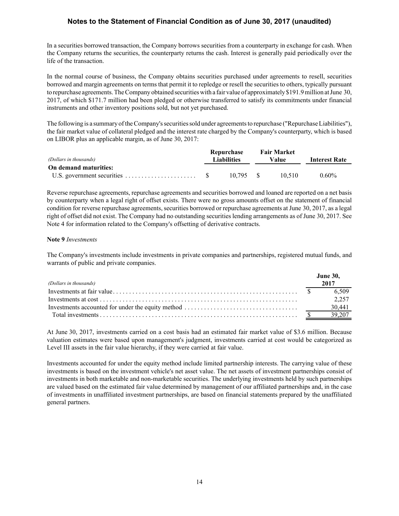In a securities borrowed transaction, the Company borrows securities from a counterparty in exchange for cash. When the Company returns the securities, the counterparty returns the cash. Interest is generally paid periodically over the life of the transaction.

In the normal course of business, the Company obtains securities purchased under agreements to resell, securities borrowed and margin agreements on terms that permit it to repledge or resell the securities to others, typically pursuant to repurchase agreements. The Company obtained securities with a fair value of approximately \$191.9 million at June 30, 2017, of which \$171.7 million had been pledged or otherwise transferred to satisfy its commitments under financial instruments and other inventory positions sold, but not yet purchased.

The following is a summary of the Company's securities sold under agreements to repurchase ("Repurchase Liabilities"), the fair market value of collateral pledged and the interest rate charged by the Company's counterparty, which is based on LIBOR plus an applicable margin, as of June 30, 2017:

|                                                                  | Repurchase         | <b>Fair Market</b> |                      |
|------------------------------------------------------------------|--------------------|--------------------|----------------------|
| (Dollars in thousands)                                           | <b>Liabilities</b> | Value              | <b>Interest Rate</b> |
| On demand maturities:                                            |                    |                    |                      |
| U.S. government securities $\dots \dots \dots \dots \dots \dots$ | $10.795$ \$        | 10.510             | $0.60\%$             |

Reverse repurchase agreements, repurchase agreements and securities borrowed and loaned are reported on a net basis by counterparty when a legal right of offset exists. There were no gross amounts offset on the statement of financial condition for reverse repurchase agreements, securities borrowed or repurchase agreements at June 30, 2017, as a legal right of offset did not exist. The Company had no outstanding securities lending arrangements as of June 30, 2017. See Note 4 for information related to the Company's offsetting of derivative contracts.

#### **Note 9** *Investments*

The Company's investments include investments in private companies and partnerships, registered mutual funds, and warrants of public and private companies.

|                        | <b>June 30,</b> |
|------------------------|-----------------|
| (Dollars in thousands) | 2017            |
|                        |                 |
|                        | 2,257           |
|                        | 30,441          |
|                        | 39.207          |

At June 30, 2017, investments carried on a cost basis had an estimated fair market value of \$3.6 million. Because valuation estimates were based upon management's judgment, investments carried at cost would be categorized as Level III assets in the fair value hierarchy, if they were carried at fair value.

Investments accounted for under the equity method include limited partnership interests. The carrying value of these investments is based on the investment vehicle's net asset value. The net assets of investment partnerships consist of investments in both marketable and non-marketable securities. The underlying investments held by such partnerships are valued based on the estimated fair value determined by management of our affiliated partnerships and, in the case of investments in unaffiliated investment partnerships, are based on financial statements prepared by the unaffiliated general partners.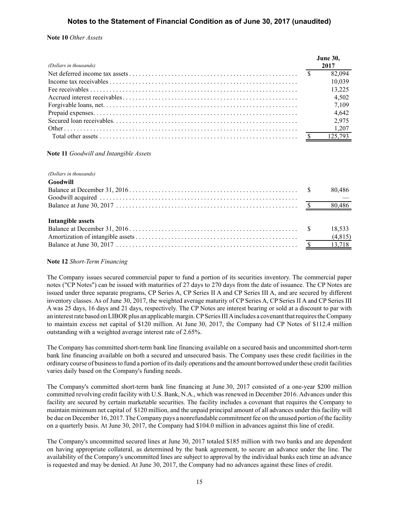**Note 10** *Other Assets*

|                        | <b>June 30,</b> |
|------------------------|-----------------|
| (Dollars in thousands) | 2017            |
|                        | 82.094          |
|                        | 10,039          |
|                        | 13,225          |
|                        | 4,502           |
|                        | 7,109           |
|                        | 4,642           |
|                        | 2,975           |
|                        |                 |
|                        |                 |

#### **Note 11** *Goodwill and Intangible Assets*

#### *(Dollars in thousands)*

| Goodwill          |        |
|-------------------|--------|
|                   | 80,486 |
|                   |        |
|                   |        |
|                   |        |
| Intangible assets |        |
|                   | 18,533 |
|                   |        |
|                   |        |

### **Note 12** *Short-Term Financing*

The Company issues secured commercial paper to fund a portion of its securities inventory. The commercial paper notes ("CP Notes") can be issued with maturities of 27 days to 270 days from the date of issuance. The CP Notes are issued under three separate programs, CP Series A, CP Series II A and CP Series III A, and are secured by different inventory classes. As of June 30, 2017, the weighted average maturity of CP Series A, CP Series II A and CP Series III A was 25 days, 16 days and 21 days, respectively. The CP Notes are interest bearing or sold at a discount to par with an interest rate based on LIBOR plus an applicable margin. CPSeries III Aincludes a covenant that requires the Company to maintain excess net capital of \$120 million. At June 30, 2017, the Company had CP Notes of \$112.4 million outstanding with a weighted average interest rate of 2.65%.

The Company has committed short-term bank line financing available on a secured basis and uncommitted short-term bank line financing available on both a secured and unsecured basis. The Company uses these credit facilities in the ordinary course of business to fund a portion of its daily operations and the amount borrowed under these credit facilities varies daily based on the Company's funding needs.

The Company's committed short-term bank line financing at June 30, 2017 consisted of a one-year \$200 million committed revolving credit facility with U.S. Bank, N.A., which was renewed in December 2016. Advances under this facility are secured by certain marketable securities. The facility includes a covenant that requires the Company to maintain minimum net capital of \$120 million, and the unpaid principal amount of all advances under this facility will be due on December 16, 2017. The Company pays a nonrefundable commitment fee on the unused portion of the facility on a quarterly basis. At June 30, 2017, the Company had \$104.0 million in advances against this line of credit.

The Company's uncommitted secured lines at June 30, 2017 totaled \$185 million with two banks and are dependent on having appropriate collateral, as determined by the bank agreement, to secure an advance under the line. The availability of the Company's uncommitted lines are subject to approval by the individual banks each time an advance is requested and may be denied. At June 30, 2017, the Company had no advances against these lines of credit.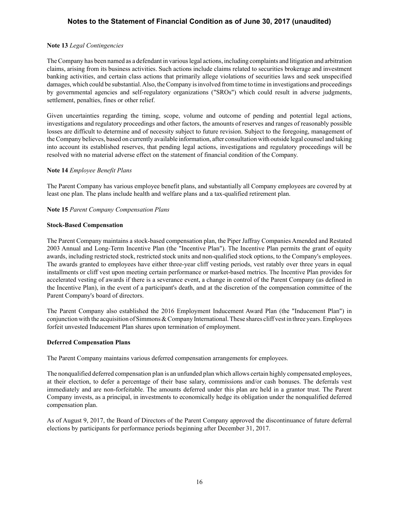## **Note 13** *Legal Contingencies*

The Company has been named as a defendant in various legal actions, including complaints and litigation and arbitration claims, arising from its business activities. Such actions include claims related to securities brokerage and investment banking activities, and certain class actions that primarily allege violations of securities laws and seek unspecified damages, which could be substantial. Also, the Company is involved from time to time in investigations and proceedings by governmental agencies and self-regulatory organizations ("SROs") which could result in adverse judgments, settlement, penalties, fines or other relief.

Given uncertainties regarding the timing, scope, volume and outcome of pending and potential legal actions, investigations and regulatory proceedings and other factors, the amounts of reserves and ranges of reasonably possible losses are difficult to determine and of necessity subject to future revision. Subject to the foregoing, management of the Company believes, based on currently available information, after consultation with outside legal counsel and taking into account its established reserves, that pending legal actions, investigations and regulatory proceedings will be resolved with no material adverse effect on the statement of financial condition of the Company.

# **Note 14** *Employee Benefit Plans*

The Parent Company has various employee benefit plans, and substantially all Company employees are covered by at least one plan. The plans include health and welfare plans and a tax-qualified retirement plan.

# **Note 15** *Parent Company Compensation Plans*

## **Stock-Based Compensation**

The Parent Company maintains a stock-based compensation plan, the Piper Jaffray Companies Amended and Restated 2003 Annual and Long-Term Incentive Plan (the "Incentive Plan"). The Incentive Plan permits the grant of equity awards, including restricted stock, restricted stock units and non-qualified stock options, to the Company's employees. The awards granted to employees have either three-year cliff vesting periods, vest ratably over three years in equal installments or cliff vest upon meeting certain performance or market-based metrics. The Incentive Plan provides for accelerated vesting of awards if there is a severance event, a change in control of the Parent Company (as defined in the Incentive Plan), in the event of a participant's death, and at the discretion of the compensation committee of the Parent Company's board of directors.

The Parent Company also established the 2016 Employment Inducement Award Plan (the "Inducement Plan") in conjunction with the acquisition of Simmons & Company International. These shares cliff vest in three years. Employees forfeit unvested Inducement Plan shares upon termination of employment.

## **Deferred Compensation Plans**

The Parent Company maintains various deferred compensation arrangements for employees.

The nonqualified deferred compensation plan is an unfunded plan which allows certain highly compensated employees, at their election, to defer a percentage of their base salary, commissions and/or cash bonuses. The deferrals vest immediately and are non-forfeitable. The amounts deferred under this plan are held in a grantor trust. The Parent Company invests, as a principal, in investments to economically hedge its obligation under the nonqualified deferred compensation plan.

As of August 9, 2017, the Board of Directors of the Parent Company approved the discontinuance of future deferral elections by participants for performance periods beginning after December 31, 2017.